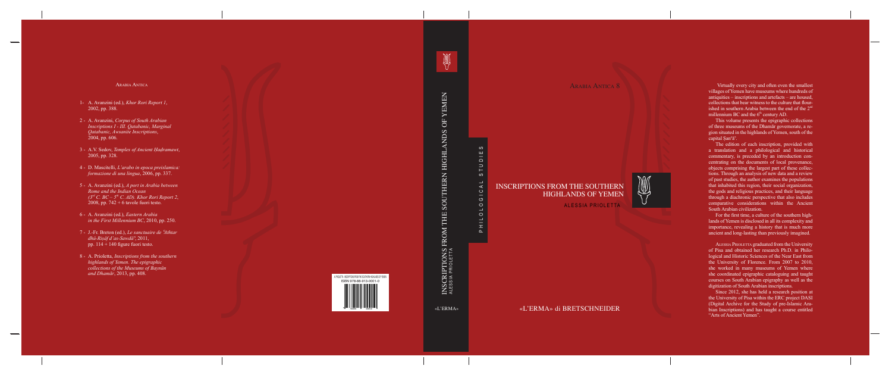Arabia Antica 8

# $\circ$ PHILOLOGICAL STUDIES  $\frac{1}{2}$ STUD HILOLOGICAL  $\alpha$

# INSCRIPTIONS FROM THE SOUTHERN HIGHLANDS OF YEMEN



ALESSIA PRIOLETTA

«L'ERMA» di BRETSCHNEIDER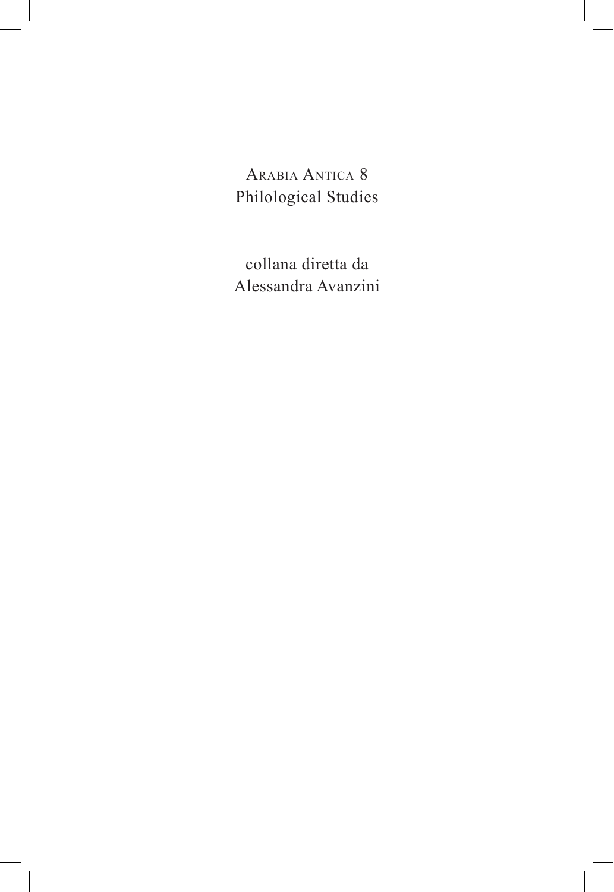ARABIA ANTICA 8 Philological Studies

collana diretta da Alessandra Avanzini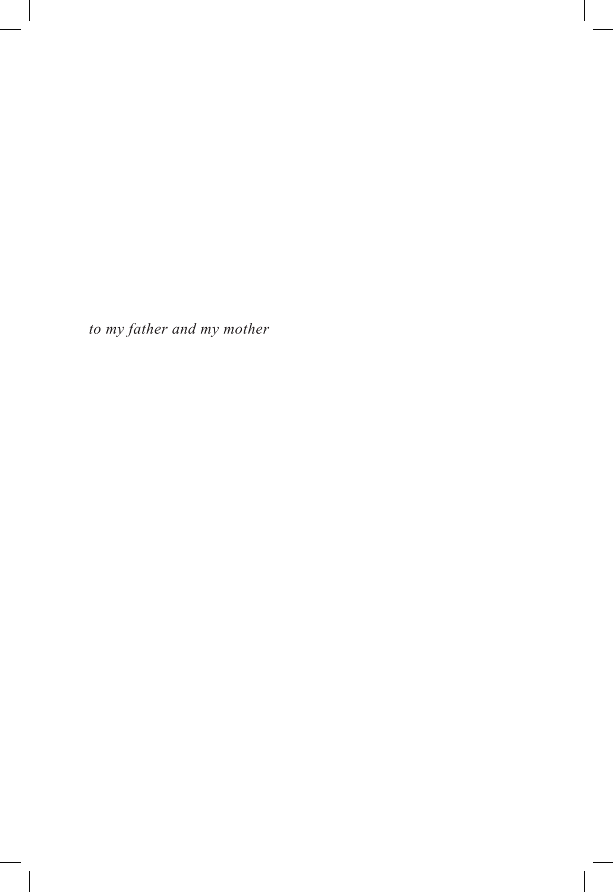*to my father and my mother*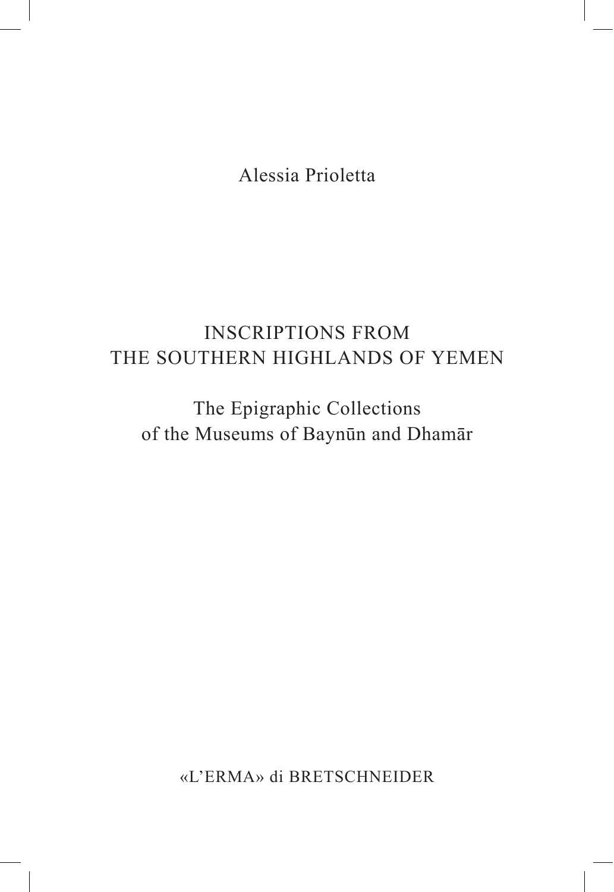Alessia Prioletta

# **INSCRIPTIONS FROM** THE SOUTHERN HIGHLANDS OF YEMEN

The Epigraphic Collections of the Museums of Baynūn and Dhamār

«L'ERMA» di BRETSCHNEIDER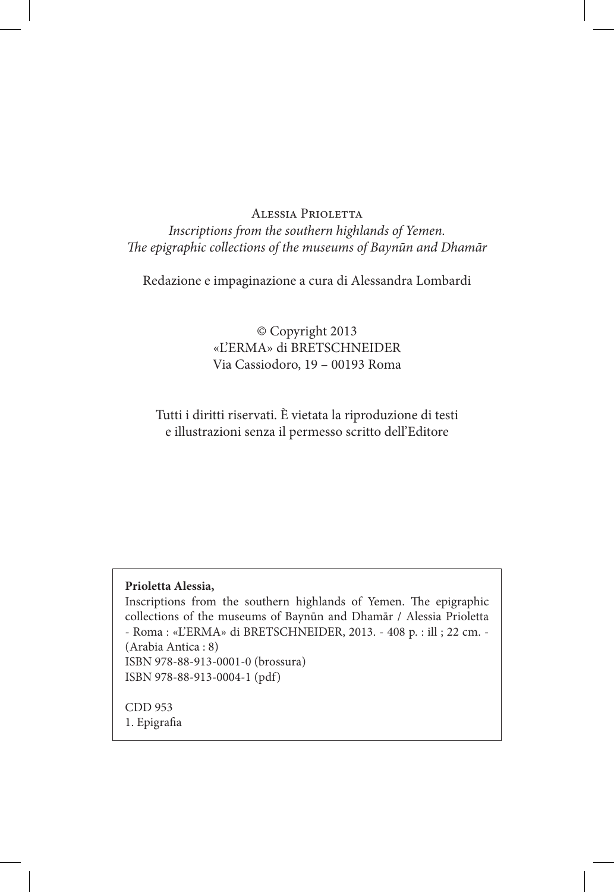#### Alessia Prioletta

### *Inscriptions from the southern highlands of Yemen. The epigraphic collections of the museums of Baynūn and Dhamār*

Redazione e impaginazione a cura di Alessandra Lombardi

### © Copyright 2013 «L'ERMA» di BRETSCHNEIDER Via Cassiodoro, 19 – 00193 Roma

### Tutti i diritti riservati. È vietata la riproduzione di testi e illustrazioni senza il permesso scritto dell'Editore

#### **Prioletta Alessia,**

Inscriptions from the southern highlands of Yemen. The epigraphic collections of the museums of Baynūn and Dhamār / Alessia Prioletta - Roma : «L'ERMA» di BRETSCHNEIDER, 2013. - 408 p. : ill ; 22 cm. - (Arabia Antica : 8) ISBN 978-88-913-0001-0 (brossura) ISBN 978-88-913-0004-1 (pdf)

CDD 953 1. Epigrafia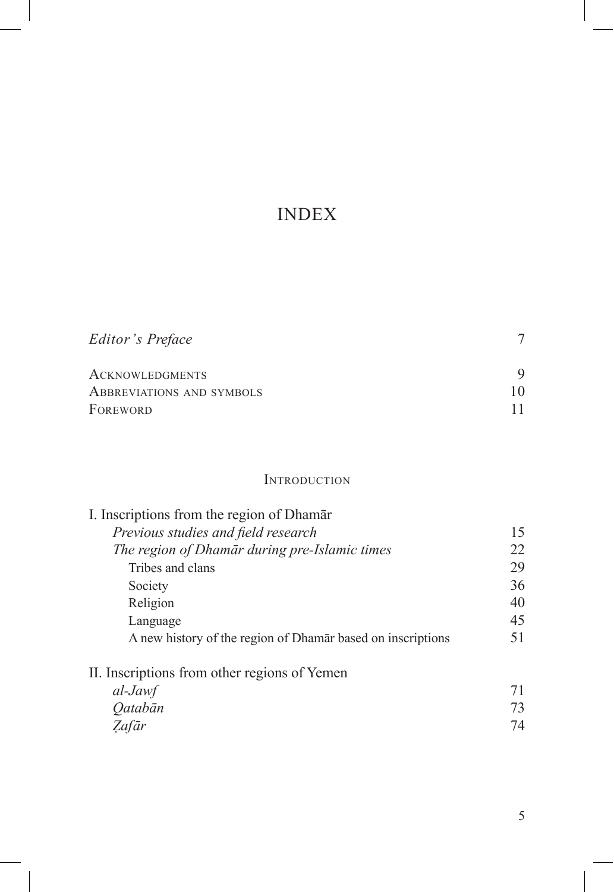# INDEX

| Editor's Preface                 |    |
|----------------------------------|----|
| <b>ACKNOWLEDGMENTS</b>           |    |
| <b>ABBREVIATIONS AND SYMBOLS</b> | 10 |
| FOREWORD                         |    |

### **INTRODUCTION**

| I. Inscriptions from the region of Dhamar                   |    |
|-------------------------------------------------------------|----|
| Previous studies and field research                         | 15 |
| The region of Dhamār during pre-Islamic times               | 22 |
| Tribes and clans                                            | 29 |
| Society                                                     | 36 |
| Religion                                                    | 40 |
| Language                                                    | 45 |
| A new history of the region of Dhamar based on inscriptions | 51 |
| II. Inscriptions from other regions of Yemen                |    |
| al-Jawf                                                     | 71 |
| <i><b>Oatabān</b></i>                                       | 73 |
| Zafār                                                       | 74 |
|                                                             |    |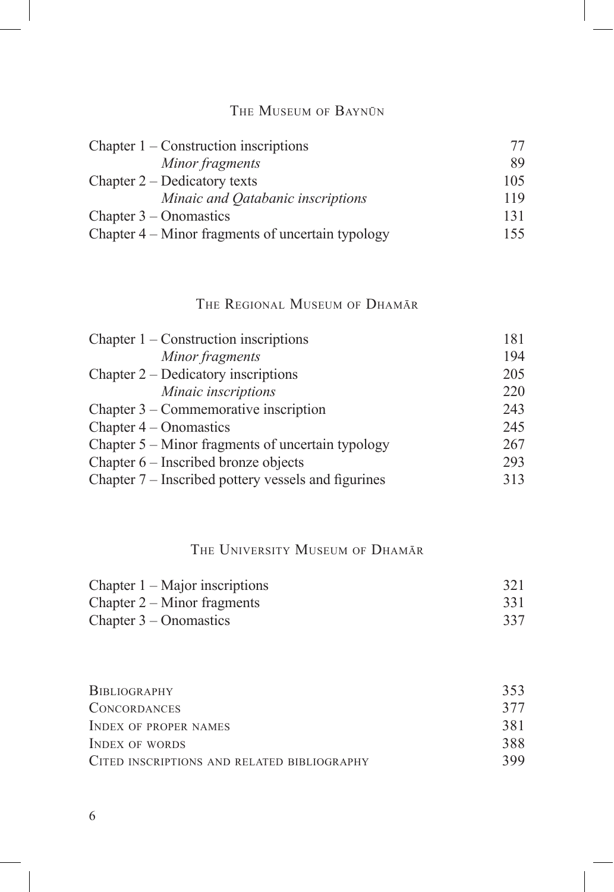### THE MUSEUM OF BAYNŪN

| Chapter $1$ – Construction inscriptions           | 77  |
|---------------------------------------------------|-----|
| Minor fragments                                   | 89  |
| Chapter $2$ – Dedicatory texts                    | 105 |
| Minaic and Qatabanic inscriptions                 | 119 |
| Chapter $3$ – Onomastics                          | 131 |
| Chapter 4 – Minor fragments of uncertain typology | 155 |

### THE REGIONAL MUSEUM OF DHAMAR

| Chapter $1$ – Construction inscriptions             | 181 |
|-----------------------------------------------------|-----|
| Minor fragments                                     | 194 |
| Chapter $2$ – Dedicatory inscriptions               | 205 |
| Minaic inscriptions                                 | 220 |
| Chapter $3$ – Commemorative inscription             | 243 |
| Chapter $4$ – Onomastics                            | 245 |
| Chapter $5 -$ Minor fragments of uncertain typology | 267 |
| Chapter 6 – Inscribed bronze objects                | 293 |
| Chapter 7 – Inscribed pottery vessels and figurines | 313 |

### THE UNIVERSITY MUSEUM OF DHAMAR

| Chapter $1 -$ Major inscriptions | 321 |
|----------------------------------|-----|
| Chapter $2 -$ Minor fragments    | 331 |
| Chapter $3 -$ Onomastics         | 337 |

| BIBLIOGRAPHY                                | 353 |
|---------------------------------------------|-----|
| <b>CONCORDANCES</b>                         | 377 |
| <b>INDEX OF PROPER NAMES</b>                | 381 |
| INDEX OF WORDS                              | 388 |
| CITED INSCRIPTIONS AND RELATED BIBLIOGRAPHY | 399 |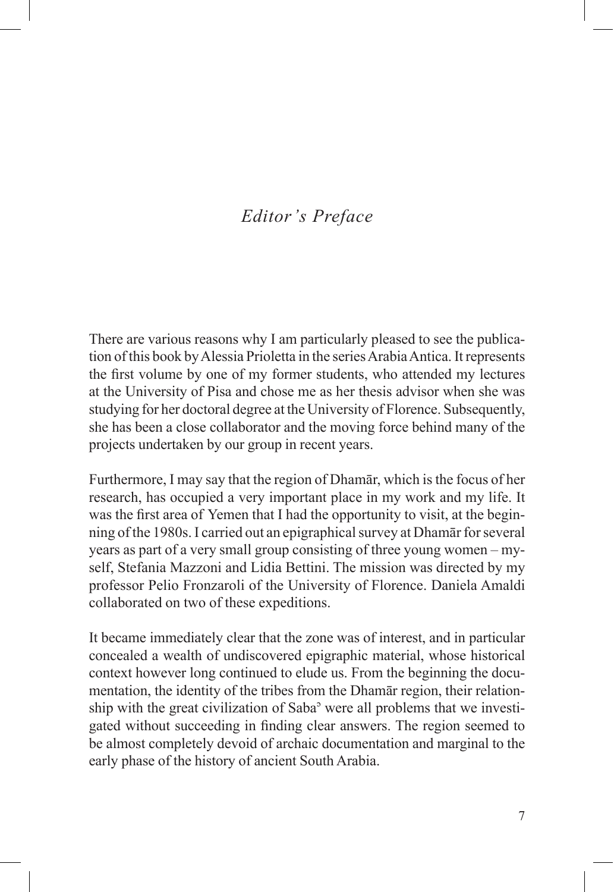# *Editor's Preface*

There are various reasons why I am particularly pleased to see the publication of this book by Alessia Prioletta in the series Arabia Antica. It represents the first volume by one of my former students, who attended my lectures at the University of Pisa and chose me as her thesis advisor when she was studying for her doctoral degree at the University of Florence. Subsequently, she has been a close collaborator and the moving force behind many of the projects undertaken by our group in recent years.

Furthermore. I may say that the region of Dhamar, which is the focus of her research, has occupied a very important place in my work and my life. It was the first area of Yemen that I had the opportunity to visit, at the beginning of the 1980s. I carried out an epigraphical survey at Dhamar for several years as part of a very small group consisting of three young women – myself, Stefania Mazzoni and Lidia Bettini. The mission was directed by my professor Pelio Fronzaroli of the University of Florence. Daniela Amaldi collaborated on two of these expeditions.

It became immediately clear that the zone was of interest, and in particular concealed a wealth of undiscovered epigraphic material, whose historical context however long continued to elude us. From the beginning the documentation, the identity of the tribes from the Dhamar region, their relationship with the great civilization of Saba<sup>3</sup> were all problems that we investigated without succeeding in finding clear answers. The region seemed to be almost completely devoid of archaic documentation and marginal to the early phase of the history of ancient South Arabia.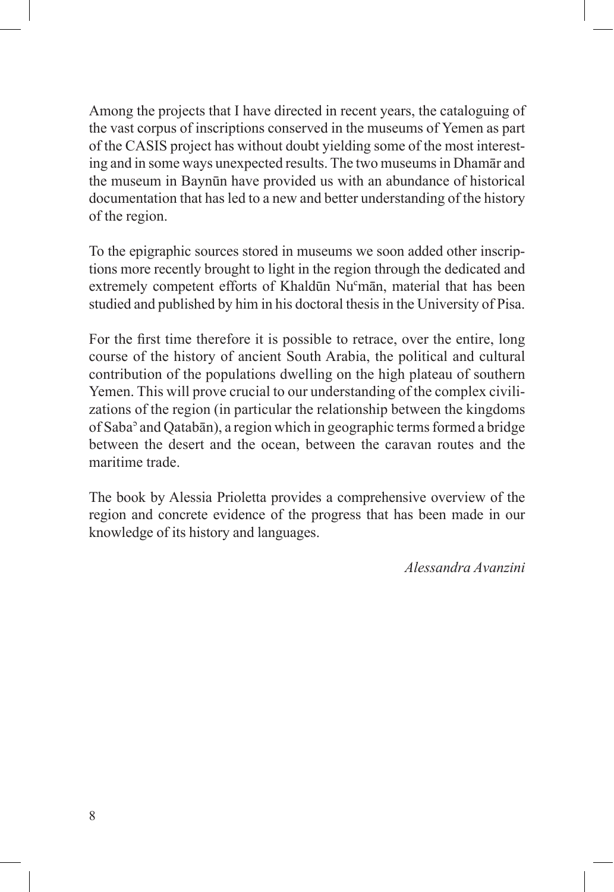Among the projects that I have directed in recent years, the cataloguing of the vast corpus of inscriptions conserved in the museums of Yemen as part of the CASIS project has without doubt yielding some of the most interesting and in some ways unexpected results. The two museums in Dhamar and the museum in Baynūn have provided us with an abundance of historical documentation that has led to a new and better understanding of the history of the region.

To the epigraphic sources stored in museums we soon added other inscriptions more recently brought to light in the region through the dedicated and extremely competent efforts of Khaldūn Nu<sup>c</sup>mān, material that has been studied and published by him in his doctoral thesis in the University of Pisa.

For the first time therefore it is possible to retrace, over the entire, long course of the history of ancient South Arabia, the political and cultural contribution of the populations dwelling on the high plateau of southern Yemen. This will prove crucial to our understanding of the complex civilizations of the region (in particular the relationship between the kingdoms of Saba<sup>3</sup> and Qataban), a region which in geographic terms formed a bridge between the desert and the ocean, between the caravan routes and the maritime trade.

The book by Alessia Prioletta provides a comprehensive overview of the region and concrete evidence of the progress that has been made in our knowledge of its history and languages.

*Alessandra Avanzini*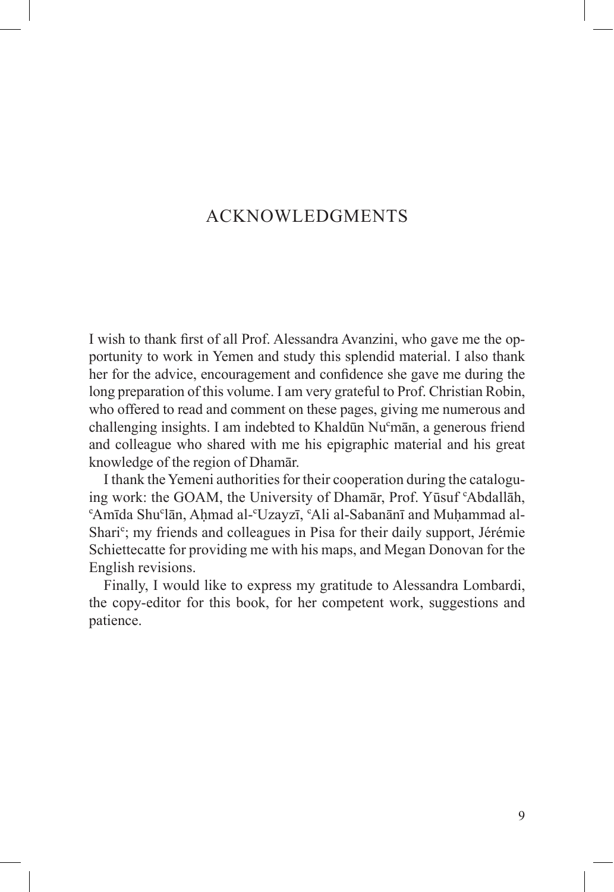## ACKNOWLEDGMENTS

I wish to thank first of all Prof. Alessandra Avanzini, who gave me the opportunity to work in Yemen and study this splendid material. I also thank her for the advice, encouragement and confidence she gave me during the long preparation of this volume. I am very grateful to Prof. Christian Robin, who offered to read and comment on these pages, giving me numerous and challenging insights. I am indebted to Khaldūn Nu<sup>c</sup>mān, a generous friend and colleague who shared with me his epigraphic material and his great knowledge of the region of Dhamar.

I thank the Yemeni authorities for their cooperation during the cataloguing work: the GOAM, the University of Dhamār, Prof. Yūsuf 'Abdallāh, 'Amīda Shu'lān, Ahmad al-'Uzayzī, 'Ali al-Sabanānī and Muhammad al-Shari<sup>c</sup>; my friends and colleagues in Pisa for their daily support, Jérémie Schiettecatte for providing me with his maps, and Megan Donovan for the English revisions.

Finally, I would like to express my gratitude to Alessandra Lombardi, the copy-editor for this book, for her competent work, suggestions and patience.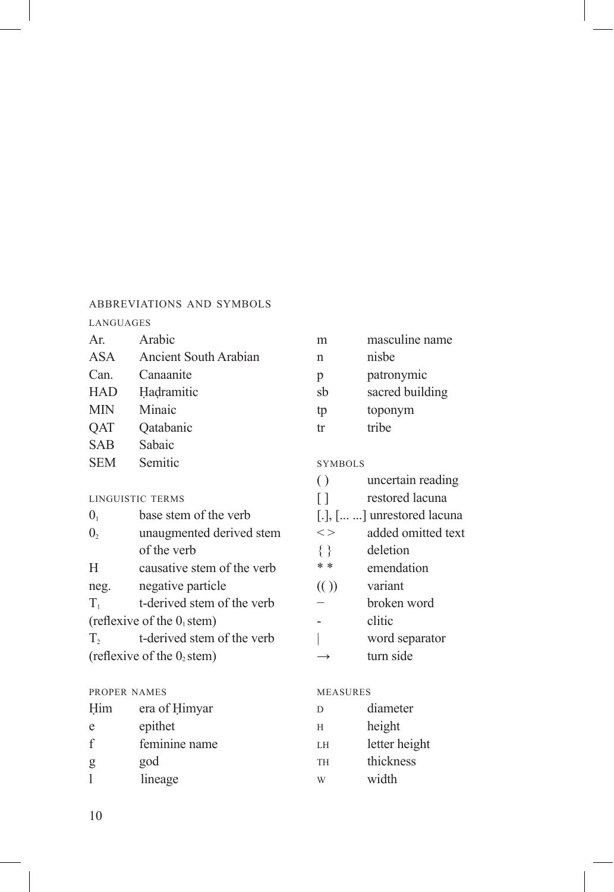#### ABBREVIATIONS AND SYMBOLS

#### **LANGUAGES**

| Ar.        | Arabic                |
|------------|-----------------------|
| <b>ASA</b> | Ancient South Arabian |
| Can.       | Canaanite             |
| <b>HAD</b> | Hadramitic            |
| MIN        | Minaic                |
| <b>OAT</b> | Qatabanic             |
| <b>SAB</b> | Sabaic                |
| <b>SEM</b> | Semitic               |
|            |                       |

#### LINGUISTIC TERMS

| $\overline{0}$                | base stem of the verb      |  |
|-------------------------------|----------------------------|--|
| $\mathbf{0}$                  | unaugmented derived stem   |  |
|                               | of the verb                |  |
| H                             | causative stem of the verb |  |
| neg.                          | negative particle          |  |
| $T_{1}$                       | t-derived stem of the verb |  |
| (reflexive of the $01$ stem)  |                            |  |
| $T_{2}$                       | t-derived stem of the verb |  |
| (reflexive of the $0$ , stem) |                            |  |

#### PROPER NAMES

| Him         | era of Himyar |
|-------------|---------------|
| e           | epithet       |
| $\mathbf f$ | feminine name |
| g           | god           |
|             | lineage       |

| m  | masculine name  |
|----|-----------------|
| n  | nisbe           |
| p  | patronymic      |
| sb | sacred building |
| tp | toponym         |
| fr | tribe           |

#### **SYMBOLS**

| $\left( \right)$ | uncertain reading                    |
|------------------|--------------------------------------|
| П                | restored lacuna                      |
|                  | $[.]$ , $[ \dots]$ unrestored lacuna |
| $<$ $>$          | added omitted text                   |
| $\{\}$           | deletion                             |
| * *              | emendation                           |
| (1)              | r <sub>nonion</sub>                  |

- (( )) variant<br>  $-$  broken word
- 
- clitic<br>| word separator
- turn side  $\rightarrow$

#### MEASURES

| D         | diameter      |
|-----------|---------------|
| H         | height        |
| LΗ        | letter height |
| <b>TH</b> | thickness     |
| W         | width         |
|           |               |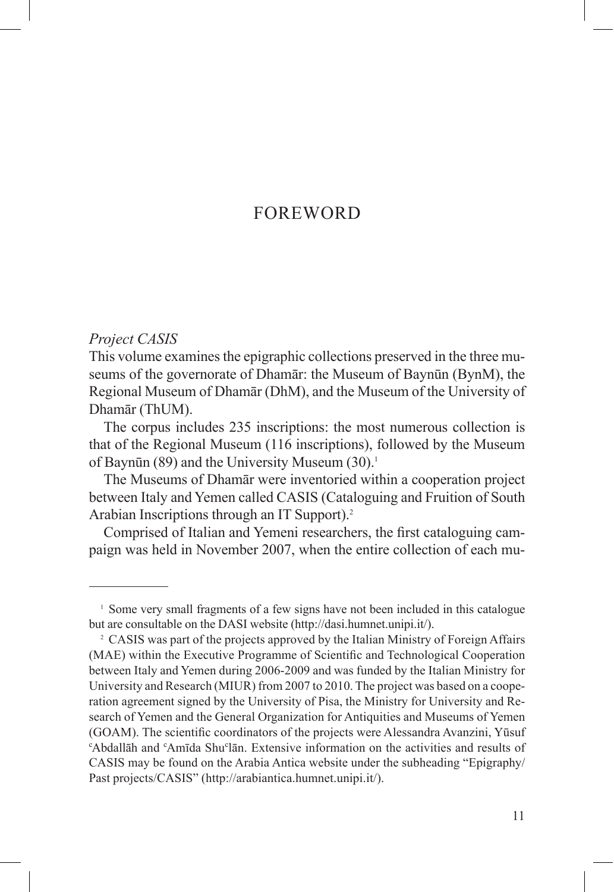### FOREWORD

#### *Project CASIS*

This volume examines the epigraphic collections preserved in the three museums of the governorate of Dhamar: the Museum of Baynun (BynM), the Regional Museum of Dhamār (DhM), and the Museum of the University of Dhamār (ThUM).

The corpus includes 235 inscriptions: the most numerous collection is that of the Regional Museum (116 inscriptions), followed by the Museum of Baynūn (89) and the University Museum  $(30)^1$ 

The Museums of Dhamar were inventoried within a cooperation project between Italy and Yemen called CASIS (Cataloguing and Fruition of South Arabian Inscriptions through an IT Support).2

Comprised of Italian and Yemeni researchers, the first cataloguing campaign was held in November 2007, when the entire collection of each mu-

<sup>&</sup>lt;sup>1</sup> Some very small fragments of a few signs have not been included in this catalogue but are consultable on the DASI website (http://dasi.humnet.unipi.it/).

<sup>2</sup> CASIS was part of the projects approved by the Italian Ministry of Foreign Affairs (MAE) within the Executive Programme of Scientific and Technological Cooperation between Italy and Yemen during 2006-2009 and was funded by the Italian Ministry for University and Research (MIUR) from 2007 to 2010. The project was based on a cooperation agreement signed by the University of Pisa, the Ministry for University and Research of Yemen and the General Organization for Antiquities and Museums of Yemen (GOAM). The scientific coordinators of the projects were Alessandra Avanzini, Yūsuf "Abdallāh and "Amīda Shu"lān. Extensive information on the activities and results of CASIS may be found on the Arabia Antica website under the subheading "Epigraphy/ Past projects/CASIS" (http://arabiantica.humnet.unipi.it/).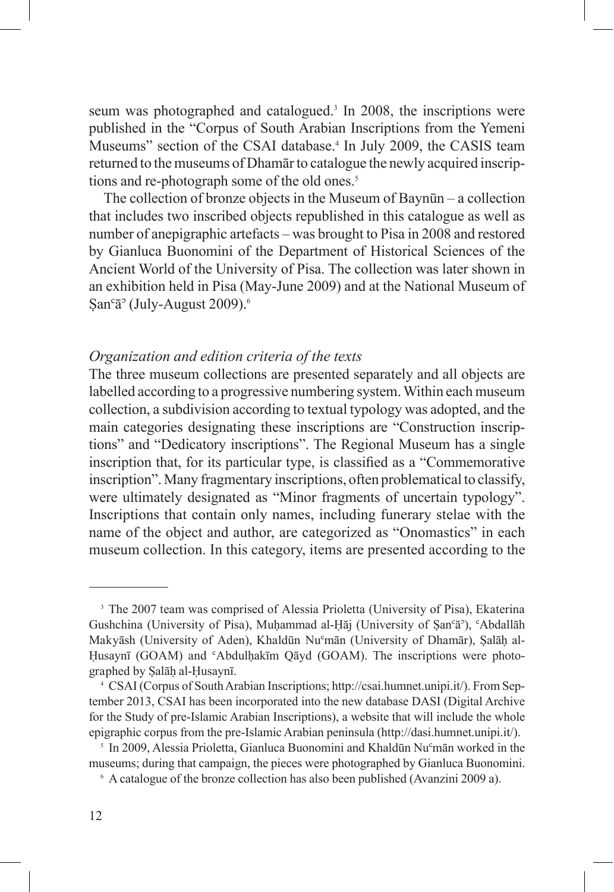seum was photographed and catalogued.<sup>3</sup> In 2008, the inscriptions were published in the "Corpus of South Arabian Inscriptions from the Yemeni Museums" section of the CSAI database.<sup>4</sup> In July 2009, the CASIS team returned to the museums of Dhamar to catalogue the newly acquired inscriptions and re-photograph some of the old ones.<sup>5</sup>

The collection of bronze objects in the Museum of Bayn $\bar{u}$ n – a collection that includes two inscribed objects republished in this catalogue as well as number of anepigraphic artefacts – was brought to Pisa in 2008 and restored by Gianluca Buonomini of the Department of Historical Sciences of the Ancient World of the University of Pisa. The collection was later shown in an exhibition held in Pisa (May-June 2009) and at the National Museum of  $San<sup>c</sup>ā<sup>o</sup> (July-August 2009).<sup>6</sup>$ 

#### *Organization and edition criteria of the texts*

The three museum collections are presented separately and all objects are labelled according to a progressive numbering system. Within each museum collection, a subdivision according to textual typology was adopted, and the main categories designating these inscriptions are "Construction inscriptions" and "Dedicatory inscriptions". The Regional Museum has a single inscription that, for its particular type, is classified as a "Commemorative inscription". Many fragmentary inscriptions, often problematical to classify, were ultimately designated as "Minor fragments of uncertain typology". Inscriptions that contain only names, including funerary stelae with the name of the object and author, are categorized as "Onomastics" in each museum collection. In this category, items are presented according to the

<sup>&</sup>lt;sup>3</sup> The 2007 team was comprised of Alessia Prioletta (University of Pisa), Ekaterina Gushchina (University of Pisa), Muhammad al-Hāj (University of Şan<sup>c</sup>ā<sup>3</sup>), <sup>c</sup>Abdallāh Makyāsh (University of Aden), Khaldūn Nu<sup>c</sup>mān (University of Dhamār), Salāh al-Husaynī (GOAM) and <sup>c</sup>Abdulhakīm Qāyd (GOAM). The inscriptions were photographed by Şalāḥ al-Ḥusaynī.

<sup>4</sup> CSAI (Corpus of South Arabian Inscriptions; http://csai.humnet.unipi.it/). From September 2013, CSAI has been incorporated into the new database DASI (Digital Archive for the Study of pre-Islamic Arabian Inscriptions), a website that will include the whole epigraphic corpus from the pre-Islamic Arabian peninsula (http://dasi.humnet.unipi.it/).

<sup>&</sup>lt;sup>5</sup> In 2009, Alessia Prioletta, Gianluca Buonomini and Khaldūn Nu<sup>c</sup>mān worked in the museums; during that campaign, the pieces were photographed by Gianluca Buonomini.

<sup>6</sup> A catalogue of the bronze collection has also been published (Avanzini 2009 a).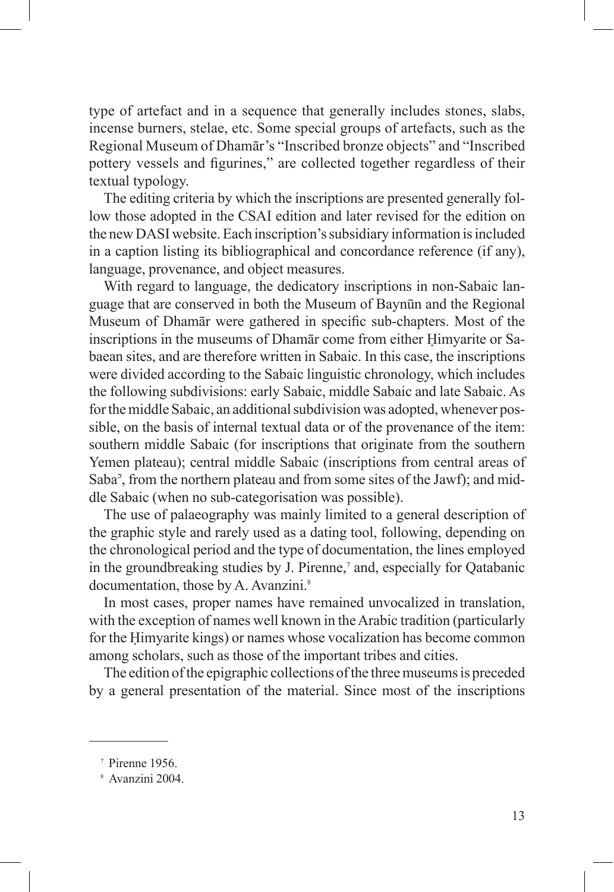type of artefact and in a sequence that generally includes stones, slabs, incense burners, stelae, etc. Some special groups of artefacts, such as the Regional Museum of Dhamār's "Inscribed bronze objects" and "Inscribed pottery vessels and figurines," are collected together regardless of their textual typology.

The editing criteria by which the inscriptions are presented generally follow those adopted in the CSAI edition and later revised for the edition on the new DASI website. Each inscription's subsidiary information is included in a caption listing its bibliographical and concordance reference (if any), language, provenance, and object measures.

With regard to language, the dedicatory inscriptions in non-Sabaic language that are conserved in both the Museum of Baynun and the Regional Museum of Dhamār were gathered in specific sub-chapters. Most of the inscriptions in the museums of Dhamar come from either Himyarite or Sabaean sites, and are therefore written in Sabaic. In this case, the inscriptions were divided according to the Sabaic linguistic chronology, which includes the following subdivisions: early Sabaic, middle Sabaic and late Sabaic. As for the middle Sabaic, an additional subdivision was adopted, whenever possible, on the basis of internal textual data or of the provenance of the item: southern middle Sabaic (for inscriptions that originate from the southern Yemen plateau); central middle Sabaic (inscriptions from central areas of Saba<sup>3</sup>, from the northern plateau and from some sites of the Jawf); and middle Sabaic (when no sub-categorisation was possible).

The use of palaeography was mainly limited to a general description of the graphic style and rarely used as a dating tool, following, depending on the chronological period and the type of documentation, the lines employed in the groundbreaking studies by J. Pirenne,<sup>7</sup> and, especially for Qatabanic documentation, those by A. Avanzini.<sup>8</sup>

In most cases, proper names have remained unvocalized in translation, with the exception of names well known in the Arabic tradition (particularly for the Himvarite kings) or names whose vocalization has become common among scholars, such as those of the important tribes and cities.

The edition of the epigraphic collections of the three museums is preceded by a general presentation of the material. Since most of the inscriptions

<sup>7</sup> Pirenne 1956.

<sup>8</sup> Avanzini 2004.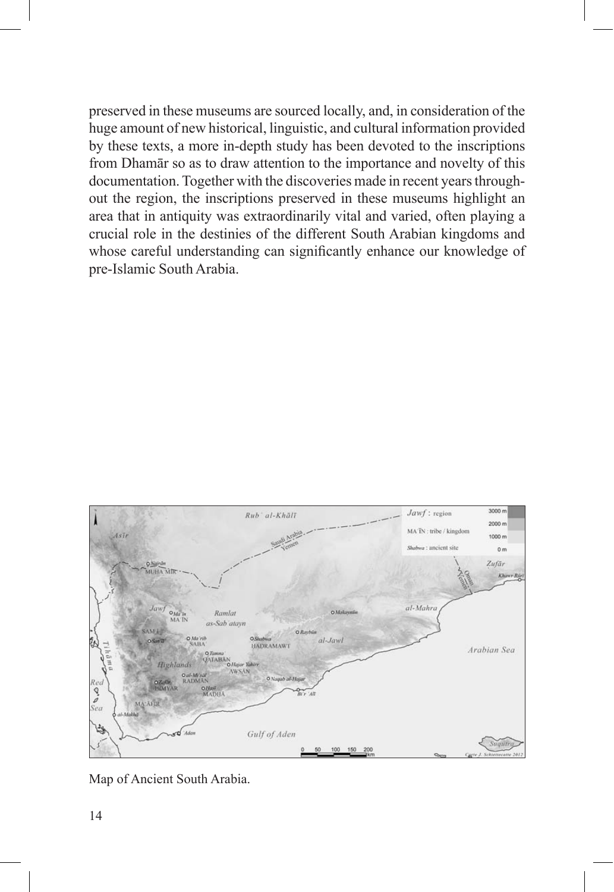preserved in these museums are sourced locally, and, in consideration of the huge amount of new historical, linguistic, and cultural information provided by these texts, a more in-depth study has been devoted to the inscriptions from Dhamar so as to draw attention to the importance and novelty of this documentation. Together with the discoveries made in recent years throughout the region, the inscriptions preserved in these museums highlight an area that in antiquity was extraordinarily vital and varied, often playing a crucial role in the destinies of the different South Arabian kingdoms and whose careful understanding can significantly enhance our knowledge of pre-Islamic South Arabia.



Map of Ancient South Arabia.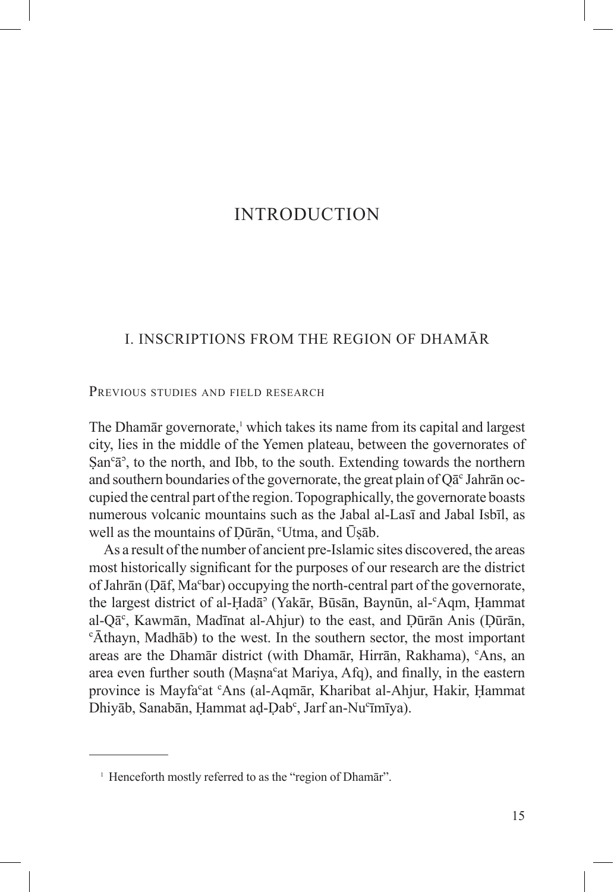### **INTRODUCTION**

### **I INSCRIPTIONS FROM THE REGION OF DHAMĀR**

PREVIOUS STUDIES AND FIELD RESEARCH

The Dhamar governorate,<sup>1</sup> which takes its name from its capital and largest city, lies in the middle of the Yemen plateau, between the governorates of  $San<sup>c</sup>ā<sup>o</sup>$ , to the north, and Ibb, to the south. Extending towards the northern and southern boundaries of the governorate, the great plain of  $O\bar{a}^c$  Jahrān occupied the central part of the region. Topographically, the governorate boasts numerous volcanic mountains such as the Jabal al-Lasī and Jabal Isbīl, as well as the mountains of Dūrān, "Utma, and Ūsāb.

As a result of the number of ancient pre-Islamic sites discovered, the areas most historically significant for the purposes of our research are the district of Jahrān (Dāf, Ma<sup>c</sup>bar) occupying the north-central part of the governorate, the largest district of al-Hadā<sup>3</sup> (Yakār, Būsān, Baynūn, al-<sup>c</sup>Aqm, Hammat al-Qā<sup>c</sup>, Kawmān, Madīnat al-Ahjur) to the east, and Dūrān Anis (Dūrān, "Āthayn, Madhāb) to the west. In the southern sector, the most important areas are the Dhamar district (with Dhamar, Hirran, Rakhama), <sup>c</sup>Ans, an area even further south (Masna<sup>c</sup>at Mariya, Afq), and finally, in the eastern province is Mayfa<sup>c</sup>at <sup>c</sup>Ans (al-Aqmar, Kharibat al-Ahjur, Hakir, Hammat Dhiyāb, Sanabān, Hammat ad-Dab<sup>c</sup>, Jarf an-Nu°īmīya).

<sup>&</sup>lt;sup>1</sup> Henceforth mostly referred to as the "region of Dhamar".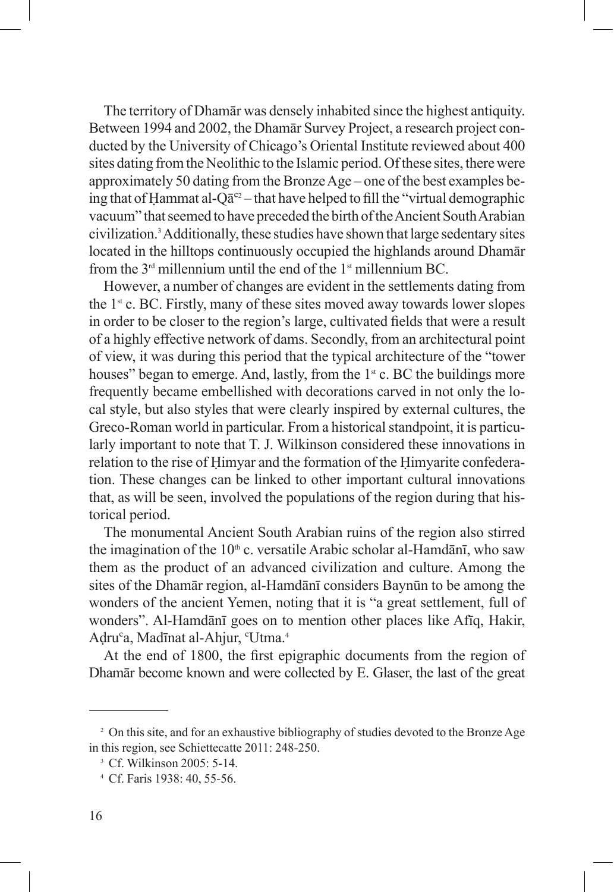The territory of Dhamar was densely inhabited since the highest antiquity. Between 1994 and 2002, the Dhamar Survey Project, a research project conducted by the University of Chicago's Oriental Institute reviewed about 400 sites dating from the Neolithic to the Islamic period. Of these sites, there were approximately 50 dating from the Bronze Age – one of the best examples being that of Hammat al-Q $\bar{a}^{c2}$  – that have helped to fill the "virtual demographic vacuum" that seemed to have preceded the birth of the Ancient South Arabian civilization.3 Additionally, these studies have shown that large sedentary sites located in the hilltops continuously occupied the highlands around Dhamar from the  $3<sup>rd</sup>$  millennium until the end of the  $1<sup>st</sup>$  millennium BC.

However, a number of changes are evident in the settlements dating from the  $1<sup>st</sup>$  c. BC. Firstly, many of these sites moved away towards lower slopes in order to be closer to the region's large, cultivated fields that were a result of a highly effective network of dams. Secondly, from an architectural point of view, it was during this period that the typical architecture of the "tower houses" began to emerge. And, lastly, from the  $1<sup>st</sup>$  c. BC the buildings more frequently became embellished with decorations carved in not only the local style, but also styles that were clearly inspired by external cultures, the Greco-Roman world in particular. From a historical standpoint, it is particularly important to note that T. J. Wilkinson considered these innovations in relation to the rise of Himyar and the formation of the Himyarite confederation. These changes can be linked to other important cultural innovations that, as will be seen, involved the populations of the region during that historical period.

The monumental Ancient South Arabian ruins of the region also stirred the imagination of the  $10<sup>th</sup>$  c. versatile Arabic scholar al-Hamdānī, who saw them as the product of an advanced civilization and culture. Among the sites of the Dhamar region, al-Hamdani considers Baynun to be among the wonders of the ancient Yemen, noting that it is "a great settlement, full of wonders". Al-Hamdānī goes on to mention other places like Afīq, Hakir, Adru<sup>c</sup>a, Madīnat al-Ahjur, <sup>c</sup>Utma.<sup>4</sup>

At the end of 1800, the first epigraphic documents from the region of Dhamār become known and were collected by E. Glaser, the last of the great

<sup>&</sup>lt;sup>2</sup> On this site, and for an exhaustive bibliography of studies devoted to the Bronze Age in this region, see Schiettecatte 2011: 248-250.

<sup>3</sup> Cf. Wilkinson 2005: 5-14.

<sup>4</sup> Cf. Faris 1938: 40, 55-56.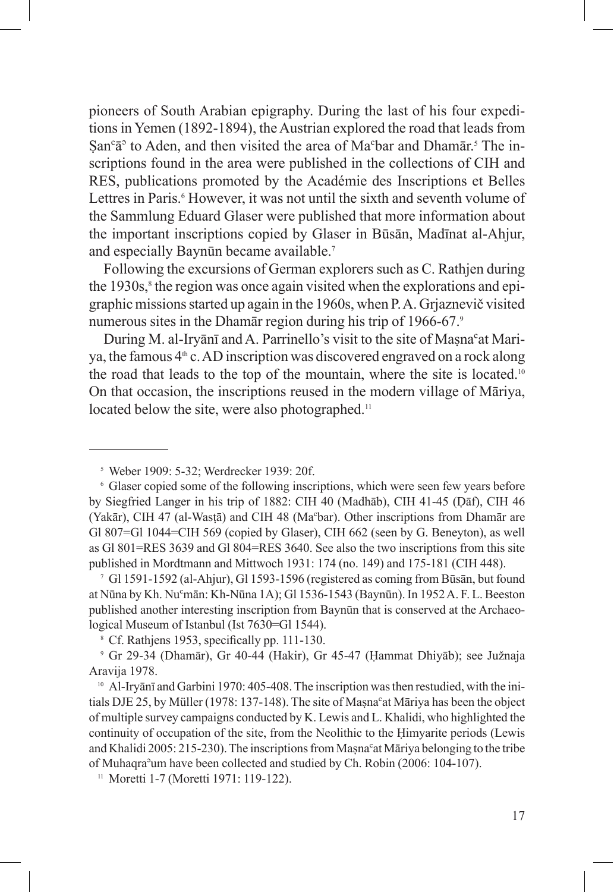pioneers of South Arabian epigraphy. During the last of his four expeditions in Yemen (1892-1894), the Austrian explored the road that leads from  $\text{San}^c \bar{a}^{\text{S}}$  to Aden, and then visited the area of Ma<sup>c</sup>bar and Dhamār.<sup>5</sup> The inscriptions found in the area were published in the collections of CIH and RES, publications promoted by the Académie des Inscriptions et Belles Lettres in Paris.<sup>6</sup> However, it was not until the sixth and seventh volume of the Sammlung Eduard Glaser were published that more information about the important inscriptions copied by Glaser in Būsān, Madīnat al-Ahjur, and especially Baynūn became available.<sup>7</sup>

Following the excursions of German explorers such as C. Rathjen during the 1930s,<sup>8</sup> the region was once again visited when the explorations and epigraphic missions started up again in the 1960s, when P.A. Griaznevič visited numerous sites in the Dhamar region during his trip of  $1966-67$ .<sup>9</sup>

During M. al-Iryani and A. Parrinello's visit to the site of Masna<sup>c</sup>at Mariya, the famous  $4<sup>th</sup>$  c. AD inscription was discovered engraved on a rock along the road that leads to the top of the mountain, where the site is located.<sup>10</sup> On that occasion, the inscriptions reused in the modern village of Māriya, located below the site, were also photographed.<sup>11</sup>

<sup>7</sup> Gl 1591-1592 (al-Ahjur), Gl 1593-1596 (registered as coming from Būsān, but found at Nūna by Kh. Nu<sup>c</sup>mān: Kh-Nūna 1A); Gl 1536-1543 (Baynūn). In 1952 A. F. L. Beeston published another interesting inscription from Baynūn that is conserved at the Archaeological Museum of Istanbul (Ist 7630=Gl 1544).

 $\degree$  Cf. Rathiens 1953, specifically pp. 111-130.

 $9$  Gr 29-34 (Dhamār), Gr 40-44 (Hakir), Gr 45-47 (Hammat Dhiyāb); see Južnaja Aravija 1978.

<sup>10</sup> Al-Irvānī and Garbini 1970: 405-408. The inscription was then restudied, with the initials DJE 25, by Müller (1978: 137-148). The site of Masna<sup>c</sup>at Māriya has been the object of multiple survey campaigns conducted by K. Lewis and L. Khalidi, who highlighted the continuity of occupation of the site, from the Neolithic to the Himyarite periods (Lewis and Khalidi 2005: 215-230). The inscriptions from Masna<sup>c</sup>at Māriya belonging to the tribe of Muhaqra<sup>3</sup>um have been collected and studied by Ch. Robin (2006: 104-107).<br><sup>11</sup> Moretti 1-7 (Moretti 1971: 119-122).

<sup>5</sup> Weber 1909: 5-32; Werdrecker 1939: 20f.

<sup>6</sup> Glaser copied some of the following inscriptions, which were seen few years before by Siegfried Langer in his trip of 1882: CIH 40 (Madhab), CIH 41-45 (Daf), CIH 46 (Yakār), CIH 47 (al-Wasṭā) and CIH 48 (Ma<sup>c</sup>bar). Other inscriptions from Dhamār are Gl 807=Gl 1044=CIH 569 (copied by Glaser), CIH 662 (seen by G. Beneyton), as well as Gl 801=RES 3639 and Gl 804=RES 3640. See also the two inscriptions from this site published in Mordtmann and Mittwoch 1931: 174 (no. 149) and 175-181 (CIH 448).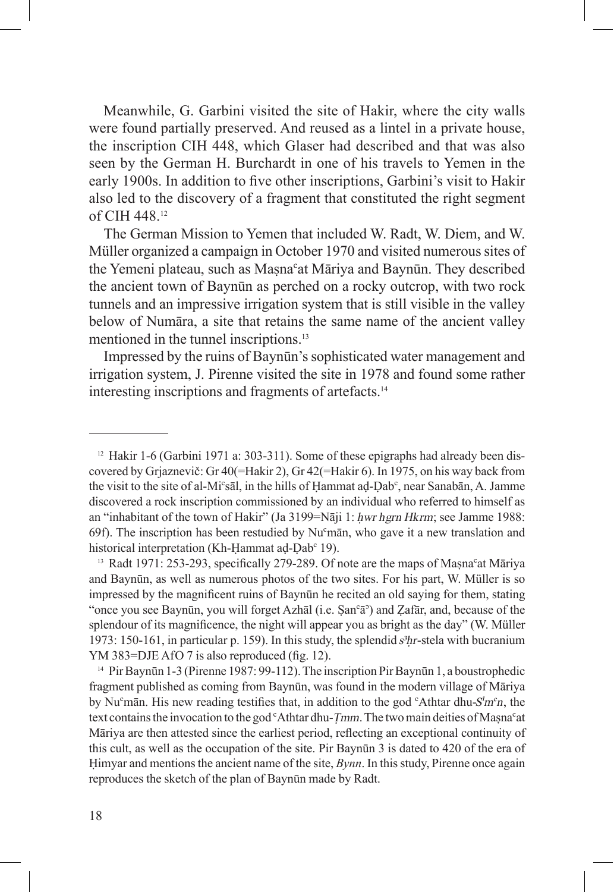Meanwhile, G. Garbini visited the site of Hakir, where the city walls were found partially preserved. And reused as a lintel in a private house, the inscription CIH 448, which Glaser had described and that was also seen by the German H. Burchardt in one of his travels to Yemen in the early 1900s. In addition to five other inscriptions, Garbini's visit to Hakir also led to the discovery of a fragment that constituted the right segment of CIH 448.12

The German Mission to Yemen that included W. Radt, W. Diem, and W. Müller organized a campaign in October 1970 and visited numerous sites of the Yemeni plateau, such as Masna<sup>c</sup>at Māriya and Baynūn. They described the ancient town of Baynūn as perched on a rocky outcrop, with two rock tunnels and an impressive irrigation system that is still visible in the valley below of Numāra, a site that retains the same name of the ancient valley mentioned in the tunnel inscriptions.<sup>13</sup>

Impressed by the ruins of Baynūn's sophisticated water management and irrigation system, J. Pirenne visited the site in 1978 and found some rather interesting inscriptions and fragments of artefacts.14

<sup>13</sup> Radt 1971: 253-293, specifically 279-289. Of note are the maps of Masna<sup>c</sup>at Māriya and Baynūn, as well as numerous photos of the two sites. For his part, W. Müller is so impressed by the magnificent ruins of Baynūn he recited an old saying for them, stating "once you see Baynūn, you will forget Azhāl (i.e.  $\text{San}^c\bar{a}$ ) and Zafār, and, because of the splendour of its magnificence, the night will appear you as bright as the day" (W. Müller 1973: 150-161, in particular p. 159). In this study, the splendid *æÃr*-stela with bucranium YM 383=DJE AfO 7 is also reproduced (fig. 12).

<sup>14</sup> Pir Baynūn 1-3 (Pirenne 1987: 99-112). The inscription Pir Baynūn 1, a boustrophedic fragment published as coming from Baynūn, was found in the modern village of Māriya by Nu<sup>c</sup>mān. His new reading testifies that, in addition to the god <sup>c</sup>Athtar dhu-*S'm<sup>c</sup>n*, the text contains the invocation to the god <sup>c</sup>Athtar dhu-*Tmm*. The two main deities of Masna<sup>c</sup>at Māriya are then attested since the earliest period, reflecting an exceptional continuity of this cult, as well as the occupation of the site. Pir Baynun 3 is dated to 420 of the era of Himyar and mentions the ancient name of the site,  $Bynn$ . In this study, Pirenne once again reproduces the sketch of the plan of Baynūn made by Radt.

 $12$  Hakir 1-6 (Garbini 1971 a: 303-311). Some of these epigraphs had already been discovered by Grjaznevič: Gr  $40$ (=Hakir 2), Gr  $42$ (=Hakir 6). In 1975, on his way back from the visit to the site of al-Mi°sal, in the hills of Hammat ad-Dab°, near Sanaban, A. Jamme discovered a rock inscription commissioned by an individual who referred to himself as an "inhabitant of the town of Hakir" (Ja 3199=Nāji 1: hwr hgrn Hkrm; see Jamme 1988: 69f). The inscription has been restudied by Nu $^{\circ}$ man, who gave it a new translation and historical interpretation (Kh-Hammat ad-Dab<sup>c</sup> 19).